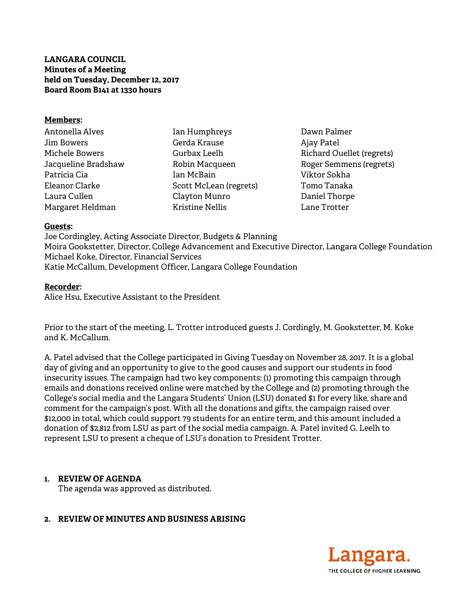# **LANGARA COUNCIL Minutes of a Meeting held on Tuesday, December 12, 2017 Board Room B141 at 1330 hours**

#### **Members:**

- Antonella Alves Jim Bowers Michele Bowers Jacqueline Bradshaw Patricia Cia Eleanor Clarke Laura Cullen Margaret Heldman
	- Ian Humphreys Gerda Krause Gurbax Leelh Robin Macqueen Ian McBain Scott McLean (regrets) Clayton Munro Kristine Nellis
- Dawn Palmer Ajay Patel Richard Ouellet (regrets) Roger Semmens (regrets) Viktor Sokha Tomo Tanaka Daniel Thorpe Lane Trotter

#### **Guests:**

Joe Cordingley, Acting Associate Director, Budgets & Planning Moira Gookstetter, Director, College Advancement and Executive Director, Langara College Foundation Michael Koke, Director, Financial Services Katie McCallum, Development Officer, Langara College Foundation

## **Recorder:**

Alice Hsu, Executive Assistant to the President

Prior to the start of the meeting, L. Trotter introduced guests J. Cordingly, M. Gookstetter, M. Koke and K. McCallum.

A. Patel advised that the College participated in Giving Tuesday on November 28, 2017. It is a global day of giving and an opportunity to give to the good causes and support our students in food insecurity issues. The campaign had two key components: (1) promoting this campaign through emails and donations received online were matched by the College and (2) promoting through the College's social media and the Langara Students' Union (LSU) donated \$1 for every like, share and comment for the campaign's post. With all the donations and gifts, the campaign raised over \$12,000 in total, which could support 79 students for an entire term, and this amount included a donation of \$2,812 from LSU as part of the social media campaign. A. Patel invited G. Leelh to represent LSU to present a cheque of LSU's donation to President Trotter.

## **1. REVIEW OF AGENDA**

The agenda was approved as distributed.

## **2. REVIEW OF MINUTES AND BUSINESS ARISING**

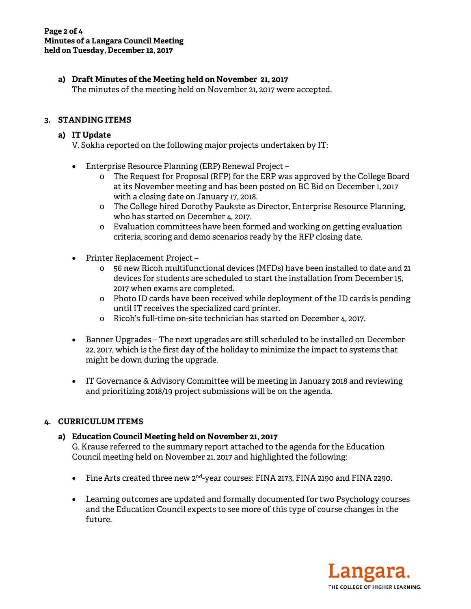# **a) Draft Minutes of the Meeting held on November 21, 2017**

The minutes of the meeting held on November 21, 2017 were accepted.

# **3. STANDING ITEMS**

### **a) IT Update**

V. Sokha reported on the following major projects undertaken by IT:

- Enterprise Resource Planning (ERP) Renewal Project
	- o The Request for Proposal (RFP) for the ERP was approved by the College Board at its November meeting and has been posted on BC Bid on December 1, 2017 with a closing date on January 17, 2018.
	- o The College hired Dorothy Paukste as Director, Enterprise Resource Planning, who has started on December 4, 2017.
	- o Evaluation committees have been formed and working on getting evaluation criteria, scoring and demo scenarios ready by the RFP closing date.
- Printer Replacement Project
	- o 56 new Ricoh multifunctional devices (MFDs) have been installed to date and 21 devices for students are scheduled to start the installation from December 15, 2017 when exams are completed.
	- o Photo ID cards have been received while deployment of the ID cards is pending until IT receives the specialized card printer.
	- o Ricoh's full-time on-site technician has started on December 4, 2017.
- Banner Upgrades The next upgrades are still scheduled to be installed on December 22, 2017, which is the first day of the holiday to minimize the impact to systems that might be down during the upgrade.
- IT Governance & Advisory Committee will be meeting in January 2018 and reviewing and prioritizing 2018/19 project submissions will be on the agenda.

## **4. CURRICULUM ITEMS**

## **a) Education Council Meeting held on November 21, 2017**

G. Krause referred to the summary report attached to the agenda for the Education Council meeting held on November 21, 2017 and highlighted the following:

- Fine Arts created three new 2<sup>nd</sup>-year courses: FINA 2173, FINA 2190 and FINA 2290.
- Learning outcomes are updated and formally documented for two Psychology courses and the Education Council expects to see more of this type of course changes in the future.

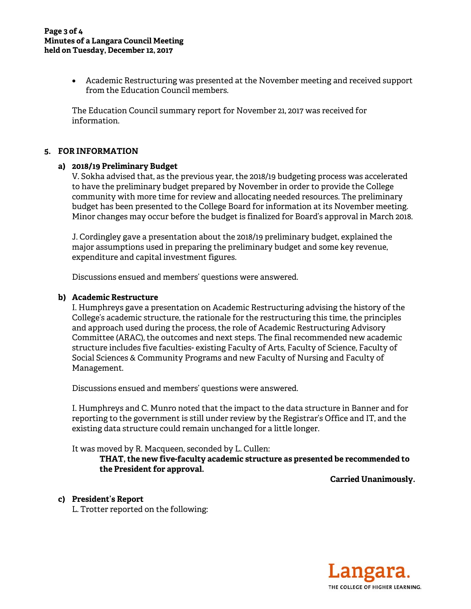#### **Page 3 of 4 Minutes of a Langara Council Meeting held on Tuesday, December 12, 2017**

 Academic Restructuring was presented at the November meeting and received support from the Education Council members.

The Education Council summary report for November 21, 2017 was received for information.

#### **5. FOR INFORMATION**

#### **a) 2018/19 Preliminary Budget**

V. Sokha advised that, as the previous year, the 2018/19 budgeting process was accelerated to have the preliminary budget prepared by November in order to provide the College community with more time for review and allocating needed resources. The preliminary budget has been presented to the College Board for information at its November meeting. Minor changes may occur before the budget is finalized for Board's approval in March 2018.

J. Cordingley gave a presentation about the 2018/19 preliminary budget, explained the major assumptions used in preparing the preliminary budget and some key revenue, expenditure and capital investment figures.

Discussions ensued and members' questions were answered.

#### **b) Academic Restructure**

I. Humphreys gave a presentation on Academic Restructuring advising the history of the College's academic structure, the rationale for the restructuring this time, the principles and approach used during the process, the role of Academic Restructuring Advisory Committee (ARAC), the outcomes and next steps. The final recommended new academic structure includes five faculties- existing Faculty of Arts, Faculty of Science, Faculty of Social Sciences & Community Programs and new Faculty of Nursing and Faculty of Management.

Discussions ensued and members' questions were answered.

I. Humphreys and C. Munro noted that the impact to the data structure in Banner and for reporting to the government is still under review by the Registrar's Office and IT, and the existing data structure could remain unchanged for a little longer.

It was moved by R. Macqueen, seconded by L. Cullen:

 **THAT, the new five-faculty academic structure as presented be recommended to the President for approval.** 

**Carried Unanimously.** 

#### **c) President's Report**

L. Trotter reported on the following: